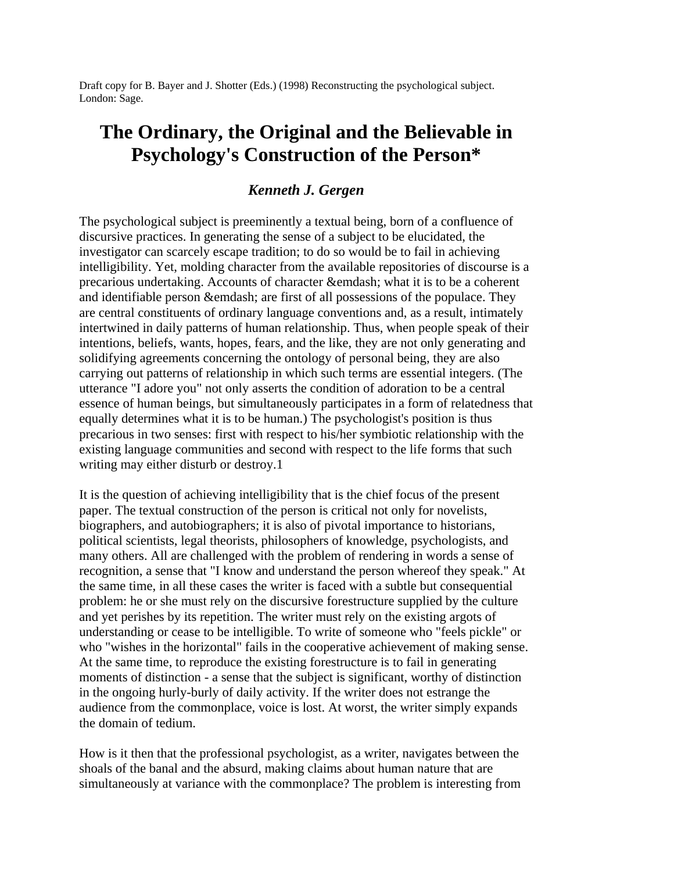Draft copy for B. Bayer and J. Shotter (Eds.) (1998) Reconstructing the psychological subject. London: Sage.

# **The Ordinary, the Original and the Believable in Psychology's Construction of the Person\***

# *Kenneth J. Gergen*

The psychological subject is preeminently a textual being, born of a confluence of discursive practices. In generating the sense of a subject to be elucidated, the investigator can scarcely escape tradition; to do so would be to fail in achieving intelligibility. Yet, molding character from the available repositories of discourse is a precarious undertaking. Accounts of character &emdash; what it is to be a coherent and identifiable person &emdash; are first of all possessions of the populace. They are central constituents of ordinary language conventions and, as a result, intimately intertwined in daily patterns of human relationship. Thus, when people speak of their intentions, beliefs, wants, hopes, fears, and the like, they are not only generating and solidifying agreements concerning the ontology of personal being, they are also carrying out patterns of relationship in which such terms are essential integers. (The utterance "I adore you" not only asserts the condition of adoration to be a central essence of human beings, but simultaneously participates in a form of relatedness that equally determines what it is to be human.) The psychologist's position is thus precarious in two senses: first with respect to his/her symbiotic relationship with the existing language communities and second with respect to the life forms that such writing may either disturb or destroy.1

It is the question of achieving intelligibility that is the chief focus of the present paper. The textual construction of the person is critical not only for novelists, biographers, and autobiographers; it is also of pivotal importance to historians, political scientists, legal theorists, philosophers of knowledge, psychologists, and many others. All are challenged with the problem of rendering in words a sense of recognition, a sense that "I know and understand the person whereof they speak." At the same time, in all these cases the writer is faced with a subtle but consequential problem: he or she must rely on the discursive forestructure supplied by the culture and yet perishes by its repetition. The writer must rely on the existing argots of understanding or cease to be intelligible. To write of someone who "feels pickle" or who "wishes in the horizontal" fails in the cooperative achievement of making sense. At the same time, to reproduce the existing forestructure is to fail in generating moments of distinction - a sense that the subject is significant, worthy of distinction in the ongoing hurly-burly of daily activity. If the writer does not estrange the audience from the commonplace, voice is lost. At worst, the writer simply expands the domain of tedium.

How is it then that the professional psychologist, as a writer, navigates between the shoals of the banal and the absurd, making claims about human nature that are simultaneously at variance with the commonplace? The problem is interesting from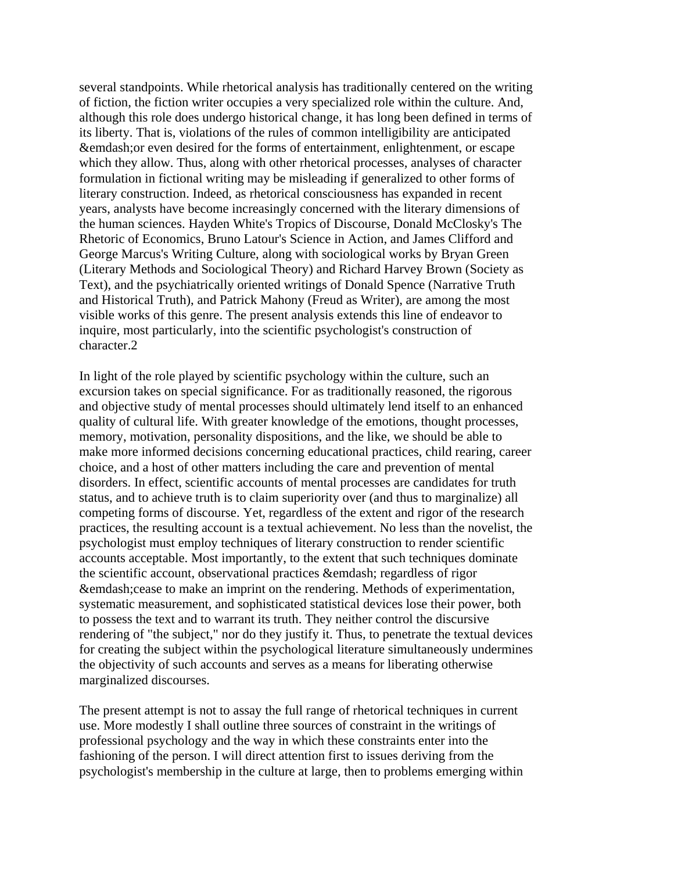several standpoints. While rhetorical analysis has traditionally centered on the writing of fiction, the fiction writer occupies a very specialized role within the culture. And, although this role does undergo historical change, it has long been defined in terms of its liberty. That is, violations of the rules of common intelligibility are anticipated &emdash;or even desired for the forms of entertainment, enlightenment, or escape which they allow. Thus, along with other rhetorical processes, analyses of character formulation in fictional writing may be misleading if generalized to other forms of literary construction. Indeed, as rhetorical consciousness has expanded in recent years, analysts have become increasingly concerned with the literary dimensions of the human sciences. Hayden White's Tropics of Discourse, Donald McClosky's The Rhetoric of Economics, Bruno Latour's Science in Action, and James Clifford and George Marcus's Writing Culture, along with sociological works by Bryan Green (Literary Methods and Sociological Theory) and Richard Harvey Brown (Society as Text), and the psychiatrically oriented writings of Donald Spence (Narrative Truth and Historical Truth), and Patrick Mahony (Freud as Writer), are among the most visible works of this genre. The present analysis extends this line of endeavor to inquire, most particularly, into the scientific psychologist's construction of character.2

In light of the role played by scientific psychology within the culture, such an excursion takes on special significance. For as traditionally reasoned, the rigorous and objective study of mental processes should ultimately lend itself to an enhanced quality of cultural life. With greater knowledge of the emotions, thought processes, memory, motivation, personality dispositions, and the like, we should be able to make more informed decisions concerning educational practices, child rearing, career choice, and a host of other matters including the care and prevention of mental disorders. In effect, scientific accounts of mental processes are candidates for truth status, and to achieve truth is to claim superiority over (and thus to marginalize) all competing forms of discourse. Yet, regardless of the extent and rigor of the research practices, the resulting account is a textual achievement. No less than the novelist, the psychologist must employ techniques of literary construction to render scientific accounts acceptable. Most importantly, to the extent that such techniques dominate the scientific account, observational practices &emdash; regardless of rigor &emdash;cease to make an imprint on the rendering. Methods of experimentation, systematic measurement, and sophisticated statistical devices lose their power, both to possess the text and to warrant its truth. They neither control the discursive rendering of "the subject," nor do they justify it. Thus, to penetrate the textual devices for creating the subject within the psychological literature simultaneously undermines the objectivity of such accounts and serves as a means for liberating otherwise marginalized discourses.

The present attempt is not to assay the full range of rhetorical techniques in current use. More modestly I shall outline three sources of constraint in the writings of professional psychology and the way in which these constraints enter into the fashioning of the person. I will direct attention first to issues deriving from the psychologist's membership in the culture at large, then to problems emerging within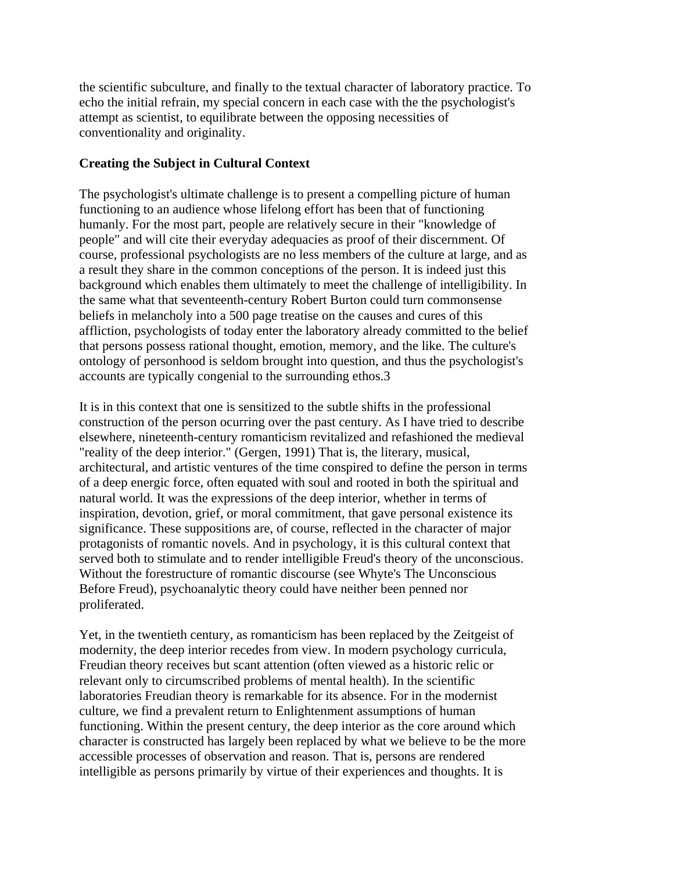the scientific subculture, and finally to the textual character of laboratory practice. To echo the initial refrain, my special concern in each case with the the psychologist's attempt as scientist, to equilibrate between the opposing necessities of conventionality and originality.

## **Creating the Subject in Cultural Context**

The psychologist's ultimate challenge is to present a compelling picture of human functioning to an audience whose lifelong effort has been that of functioning humanly. For the most part, people are relatively secure in their "knowledge of people" and will cite their everyday adequacies as proof of their discernment. Of course, professional psychologists are no less members of the culture at large, and as a result they share in the common conceptions of the person. It is indeed just this background which enables them ultimately to meet the challenge of intelligibility. In the same what that seventeenth-century Robert Burton could turn commonsense beliefs in melancholy into a 500 page treatise on the causes and cures of this affliction, psychologists of today enter the laboratory already committed to the belief that persons possess rational thought, emotion, memory, and the like. The culture's ontology of personhood is seldom brought into question, and thus the psychologist's accounts are typically congenial to the surrounding ethos.3

It is in this context that one is sensitized to the subtle shifts in the professional construction of the person ocurring over the past century. As I have tried to describe elsewhere, nineteenth-century romanticism revitalized and refashioned the medieval "reality of the deep interior." (Gergen, 1991) That is, the literary, musical, architectural, and artistic ventures of the time conspired to define the person in terms of a deep energic force, often equated with soul and rooted in both the spiritual and natural world. It was the expressions of the deep interior, whether in terms of inspiration, devotion, grief, or moral commitment, that gave personal existence its significance. These suppositions are, of course, reflected in the character of major protagonists of romantic novels. And in psychology, it is this cultural context that served both to stimulate and to render intelligible Freud's theory of the unconscious. Without the forestructure of romantic discourse (see Whyte's The Unconscious Before Freud), psychoanalytic theory could have neither been penned nor proliferated.

Yet, in the twentieth century, as romanticism has been replaced by the Zeitgeist of modernity, the deep interior recedes from view. In modern psychology curricula, Freudian theory receives but scant attention (often viewed as a historic relic or relevant only to circumscribed problems of mental health). In the scientific laboratories Freudian theory is remarkable for its absence. For in the modernist culture, we find a prevalent return to Enlightenment assumptions of human functioning. Within the present century, the deep interior as the core around which character is constructed has largely been replaced by what we believe to be the more accessible processes of observation and reason. That is, persons are rendered intelligible as persons primarily by virtue of their experiences and thoughts. It is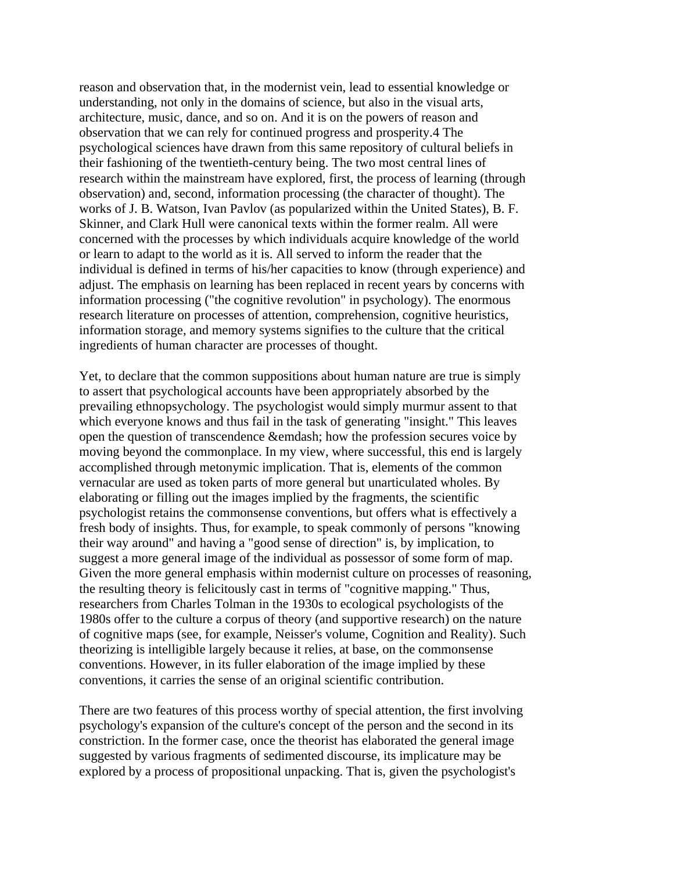reason and observation that, in the modernist vein, lead to essential knowledge or understanding, not only in the domains of science, but also in the visual arts, architecture, music, dance, and so on. And it is on the powers of reason and observation that we can rely for continued progress and prosperity.4 The psychological sciences have drawn from this same repository of cultural beliefs in their fashioning of the twentieth-century being. The two most central lines of research within the mainstream have explored, first, the process of learning (through observation) and, second, information processing (the character of thought). The works of J. B. Watson, Ivan Pavlov (as popularized within the United States), B. F. Skinner, and Clark Hull were canonical texts within the former realm. All were concerned with the processes by which individuals acquire knowledge of the world or learn to adapt to the world as it is. All served to inform the reader that the individual is defined in terms of his/her capacities to know (through experience) and adjust. The emphasis on learning has been replaced in recent years by concerns with information processing ("the cognitive revolution" in psychology). The enormous research literature on processes of attention, comprehension, cognitive heuristics, information storage, and memory systems signifies to the culture that the critical ingredients of human character are processes of thought.

Yet, to declare that the common suppositions about human nature are true is simply to assert that psychological accounts have been appropriately absorbed by the prevailing ethnopsychology. The psychologist would simply murmur assent to that which everyone knows and thus fail in the task of generating "insight." This leaves open the question of transcendence &emdash; how the profession secures voice by moving beyond the commonplace. In my view, where successful, this end is largely accomplished through metonymic implication. That is, elements of the common vernacular are used as token parts of more general but unarticulated wholes. By elaborating or filling out the images implied by the fragments, the scientific psychologist retains the commonsense conventions, but offers what is effectively a fresh body of insights. Thus, for example, to speak commonly of persons "knowing their way around" and having a "good sense of direction" is, by implication, to suggest a more general image of the individual as possessor of some form of map. Given the more general emphasis within modernist culture on processes of reasoning, the resulting theory is felicitously cast in terms of "cognitive mapping." Thus, researchers from Charles Tolman in the 1930s to ecological psychologists of the 1980s offer to the culture a corpus of theory (and supportive research) on the nature of cognitive maps (see, for example, Neisser's volume, Cognition and Reality). Such theorizing is intelligible largely because it relies, at base, on the commonsense conventions. However, in its fuller elaboration of the image implied by these conventions, it carries the sense of an original scientific contribution.

There are two features of this process worthy of special attention, the first involving psychology's expansion of the culture's concept of the person and the second in its constriction. In the former case, once the theorist has elaborated the general image suggested by various fragments of sedimented discourse, its implicature may be explored by a process of propositional unpacking. That is, given the psychologist's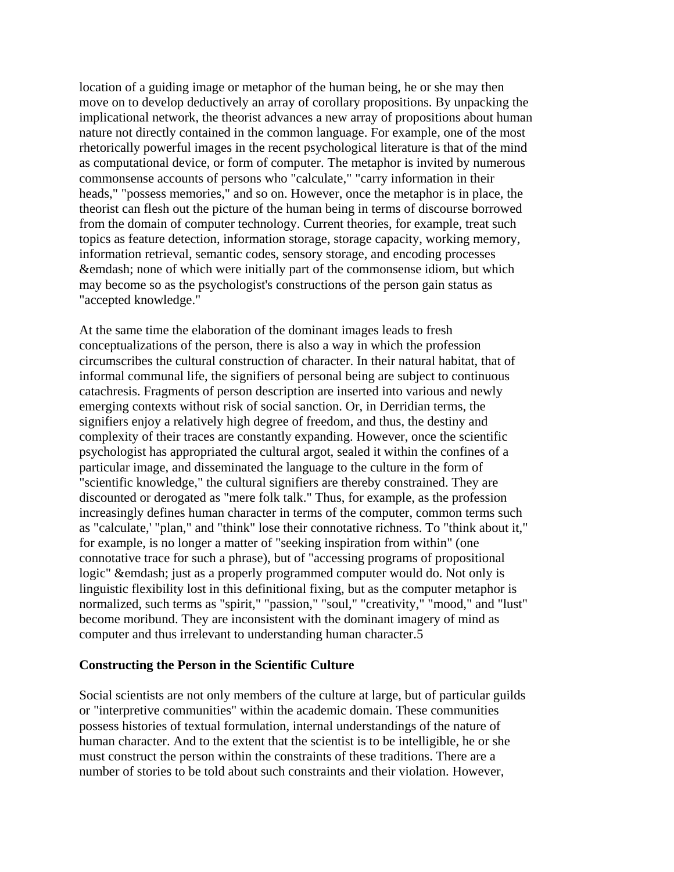location of a guiding image or metaphor of the human being, he or she may then move on to develop deductively an array of corollary propositions. By unpacking the implicational network, the theorist advances a new array of propositions about human nature not directly contained in the common language. For example, one of the most rhetorically powerful images in the recent psychological literature is that of the mind as computational device, or form of computer. The metaphor is invited by numerous commonsense accounts of persons who "calculate," "carry information in their heads," "possess memories," and so on. However, once the metaphor is in place, the theorist can flesh out the picture of the human being in terms of discourse borrowed from the domain of computer technology. Current theories, for example, treat such topics as feature detection, information storage, storage capacity, working memory, information retrieval, semantic codes, sensory storage, and encoding processes &emdash; none of which were initially part of the commonsense idiom, but which may become so as the psychologist's constructions of the person gain status as "accepted knowledge."

At the same time the elaboration of the dominant images leads to fresh conceptualizations of the person, there is also a way in which the profession circumscribes the cultural construction of character. In their natural habitat, that of informal communal life, the signifiers of personal being are subject to continuous catachresis. Fragments of person description are inserted into various and newly emerging contexts without risk of social sanction. Or, in Derridian terms, the signifiers enjoy a relatively high degree of freedom, and thus, the destiny and complexity of their traces are constantly expanding. However, once the scientific psychologist has appropriated the cultural argot, sealed it within the confines of a particular image, and disseminated the language to the culture in the form of "scientific knowledge," the cultural signifiers are thereby constrained. They are discounted or derogated as "mere folk talk." Thus, for example, as the profession increasingly defines human character in terms of the computer, common terms such as "calculate,' "plan," and "think" lose their connotative richness. To "think about it," for example, is no longer a matter of "seeking inspiration from within" (one connotative trace for such a phrase), but of "accessing programs of propositional logic" &emdash; just as a properly programmed computer would do. Not only is linguistic flexibility lost in this definitional fixing, but as the computer metaphor is normalized, such terms as "spirit," "passion," "soul," "creativity," "mood," and "lust" become moribund. They are inconsistent with the dominant imagery of mind as computer and thus irrelevant to understanding human character.5

#### **Constructing the Person in the Scientific Culture**

Social scientists are not only members of the culture at large, but of particular guilds or "interpretive communities" within the academic domain. These communities possess histories of textual formulation, internal understandings of the nature of human character. And to the extent that the scientist is to be intelligible, he or she must construct the person within the constraints of these traditions. There are a number of stories to be told about such constraints and their violation. However,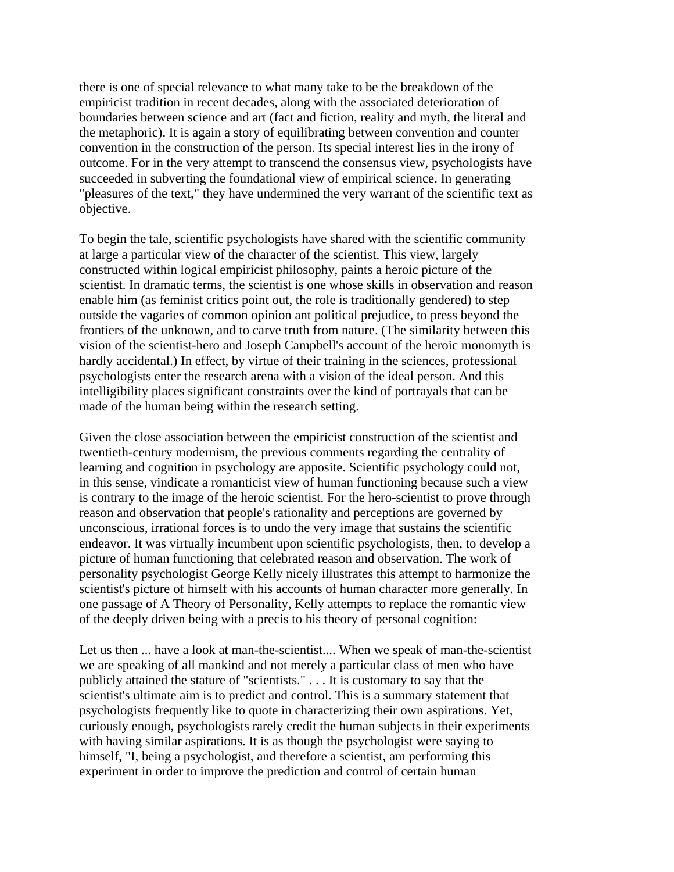there is one of special relevance to what many take to be the breakdown of the empiricist tradition in recent decades, along with the associated deterioration of boundaries between science and art (fact and fiction, reality and myth, the literal and the metaphoric). It is again a story of equilibrating between convention and counter convention in the construction of the person. Its special interest lies in the irony of outcome. For in the very attempt to transcend the consensus view, psychologists have succeeded in subverting the foundational view of empirical science. In generating "pleasures of the text," they have undermined the very warrant of the scientific text as objective.

To begin the tale, scientific psychologists have shared with the scientific community at large a particular view of the character of the scientist. This view, largely constructed within logical empiricist philosophy, paints a heroic picture of the scientist. In dramatic terms, the scientist is one whose skills in observation and reason enable him (as feminist critics point out, the role is traditionally gendered) to step outside the vagaries of common opinion ant political prejudice, to press beyond the frontiers of the unknown, and to carve truth from nature. (The similarity between this vision of the scientist-hero and Joseph Campbell's account of the heroic monomyth is hardly accidental.) In effect, by virtue of their training in the sciences, professional psychologists enter the research arena with a vision of the ideal person. And this intelligibility places significant constraints over the kind of portrayals that can be made of the human being within the research setting.

Given the close association between the empiricist construction of the scientist and twentieth-century modernism, the previous comments regarding the centrality of learning and cognition in psychology are apposite. Scientific psychology could not, in this sense, vindicate a romanticist view of human functioning because such a view is contrary to the image of the heroic scientist. For the hero-scientist to prove through reason and observation that people's rationality and perceptions are governed by unconscious, irrational forces is to undo the very image that sustains the scientific endeavor. It was virtually incumbent upon scientific psychologists, then, to develop a picture of human functioning that celebrated reason and observation. The work of personality psychologist George Kelly nicely illustrates this attempt to harmonize the scientist's picture of himself with his accounts of human character more generally. In one passage of A Theory of Personality, Kelly attempts to replace the romantic view of the deeply driven being with a precis to his theory of personal cognition:

Let us then ... have a look at man-the-scientist.... When we speak of man-the-scientist we are speaking of all mankind and not merely a particular class of men who have publicly attained the stature of "scientists." . . . It is customary to say that the scientist's ultimate aim is to predict and control. This is a summary statement that psychologists frequently like to quote in characterizing their own aspirations. Yet, curiously enough, psychologists rarely credit the human subjects in their experiments with having similar aspirations. It is as though the psychologist were saying to himself, "I, being a psychologist, and therefore a scientist, am performing this experiment in order to improve the prediction and control of certain human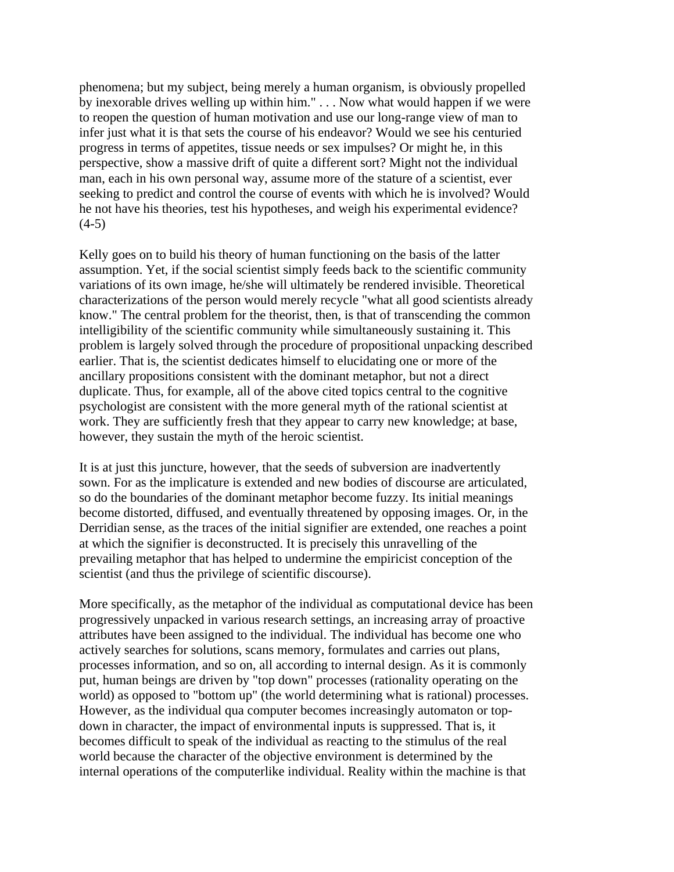phenomena; but my subject, being merely a human organism, is obviously propelled by inexorable drives welling up within him." . . . Now what would happen if we were to reopen the question of human motivation and use our long-range view of man to infer just what it is that sets the course of his endeavor? Would we see his centuried progress in terms of appetites, tissue needs or sex impulses? Or might he, in this perspective, show a massive drift of quite a different sort? Might not the individual man, each in his own personal way, assume more of the stature of a scientist, ever seeking to predict and control the course of events with which he is involved? Would he not have his theories, test his hypotheses, and weigh his experimental evidence?  $(4-5)$ 

Kelly goes on to build his theory of human functioning on the basis of the latter assumption. Yet, if the social scientist simply feeds back to the scientific community variations of its own image, he/she will ultimately be rendered invisible. Theoretical characterizations of the person would merely recycle "what all good scientists already know." The central problem for the theorist, then, is that of transcending the common intelligibility of the scientific community while simultaneously sustaining it. This problem is largely solved through the procedure of propositional unpacking described earlier. That is, the scientist dedicates himself to elucidating one or more of the ancillary propositions consistent with the dominant metaphor, but not a direct duplicate. Thus, for example, all of the above cited topics central to the cognitive psychologist are consistent with the more general myth of the rational scientist at work. They are sufficiently fresh that they appear to carry new knowledge; at base, however, they sustain the myth of the heroic scientist.

It is at just this juncture, however, that the seeds of subversion are inadvertently sown. For as the implicature is extended and new bodies of discourse are articulated, so do the boundaries of the dominant metaphor become fuzzy. Its initial meanings become distorted, diffused, and eventually threatened by opposing images. Or, in the Derridian sense, as the traces of the initial signifier are extended, one reaches a point at which the signifier is deconstructed. It is precisely this unravelling of the prevailing metaphor that has helped to undermine the empiricist conception of the scientist (and thus the privilege of scientific discourse).

More specifically, as the metaphor of the individual as computational device has been progressively unpacked in various research settings, an increasing array of proactive attributes have been assigned to the individual. The individual has become one who actively searches for solutions, scans memory, formulates and carries out plans, processes information, and so on, all according to internal design. As it is commonly put, human beings are driven by "top down" processes (rationality operating on the world) as opposed to "bottom up" (the world determining what is rational) processes. However, as the individual qua computer becomes increasingly automaton or topdown in character, the impact of environmental inputs is suppressed. That is, it becomes difficult to speak of the individual as reacting to the stimulus of the real world because the character of the objective environment is determined by the internal operations of the computerlike individual. Reality within the machine is that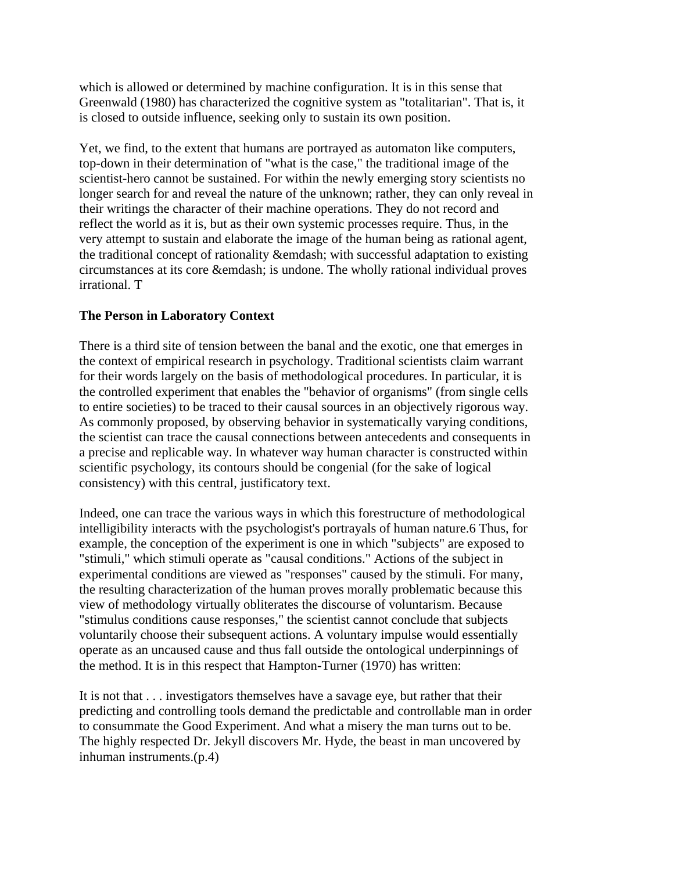which is allowed or determined by machine configuration. It is in this sense that Greenwald (1980) has characterized the cognitive system as "totalitarian". That is, it is closed to outside influence, seeking only to sustain its own position.

Yet, we find, to the extent that humans are portrayed as automaton like computers, top-down in their determination of "what is the case," the traditional image of the scientist-hero cannot be sustained. For within the newly emerging story scientists no longer search for and reveal the nature of the unknown; rather, they can only reveal in their writings the character of their machine operations. They do not record and reflect the world as it is, but as their own systemic processes require. Thus, in the very attempt to sustain and elaborate the image of the human being as rational agent, the traditional concept of rationality &emdash; with successful adaptation to existing circumstances at its core &emdash; is undone. The wholly rational individual proves irrational. T

### **The Person in Laboratory Context**

There is a third site of tension between the banal and the exotic, one that emerges in the context of empirical research in psychology. Traditional scientists claim warrant for their words largely on the basis of methodological procedures. In particular, it is the controlled experiment that enables the "behavior of organisms" (from single cells to entire societies) to be traced to their causal sources in an objectively rigorous way. As commonly proposed, by observing behavior in systematically varying conditions, the scientist can trace the causal connections between antecedents and consequents in a precise and replicable way. In whatever way human character is constructed within scientific psychology, its contours should be congenial (for the sake of logical consistency) with this central, justificatory text.

Indeed, one can trace the various ways in which this forestructure of methodological intelligibility interacts with the psychologist's portrayals of human nature.6 Thus, for example, the conception of the experiment is one in which "subjects" are exposed to "stimuli," which stimuli operate as "causal conditions." Actions of the subject in experimental conditions are viewed as "responses" caused by the stimuli. For many, the resulting characterization of the human proves morally problematic because this view of methodology virtually obliterates the discourse of voluntarism. Because "stimulus conditions cause responses," the scientist cannot conclude that subjects voluntarily choose their subsequent actions. A voluntary impulse would essentially operate as an uncaused cause and thus fall outside the ontological underpinnings of the method. It is in this respect that Hampton-Turner (1970) has written:

It is not that . . . investigators themselves have a savage eye, but rather that their predicting and controlling tools demand the predictable and controllable man in order to consummate the Good Experiment. And what a misery the man turns out to be. The highly respected Dr. Jekyll discovers Mr. Hyde, the beast in man uncovered by inhuman instruments.(p.4)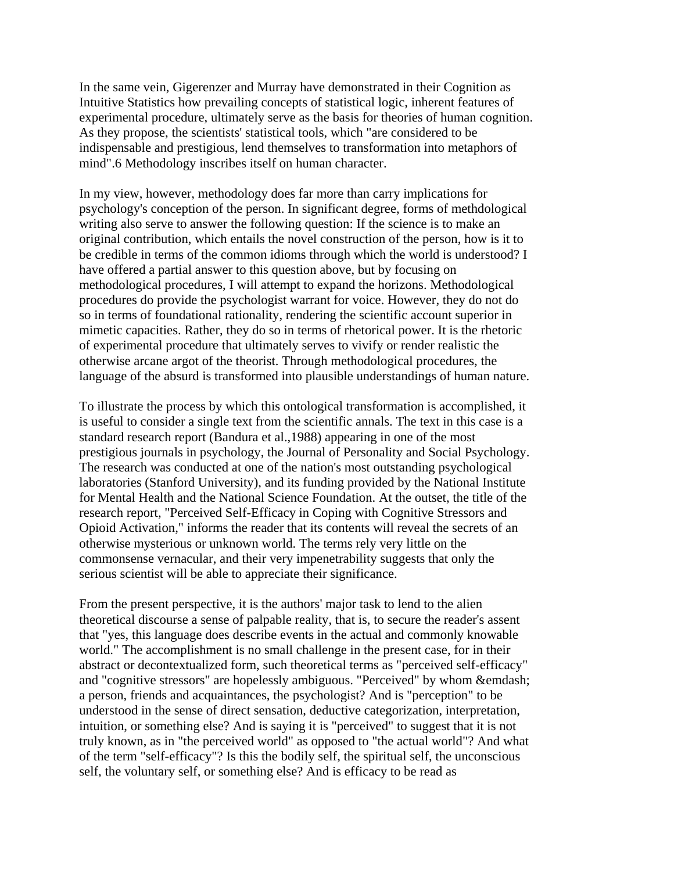In the same vein, Gigerenzer and Murray have demonstrated in their Cognition as Intuitive Statistics how prevailing concepts of statistical logic, inherent features of experimental procedure, ultimately serve as the basis for theories of human cognition. As they propose, the scientists' statistical tools, which "are considered to be indispensable and prestigious, lend themselves to transformation into metaphors of mind".6 Methodology inscribes itself on human character.

In my view, however, methodology does far more than carry implications for psychology's conception of the person. In significant degree, forms of methdological writing also serve to answer the following question: If the science is to make an original contribution, which entails the novel construction of the person, how is it to be credible in terms of the common idioms through which the world is understood? I have offered a partial answer to this question above, but by focusing on methodological procedures, I will attempt to expand the horizons. Methodological procedures do provide the psychologist warrant for voice. However, they do not do so in terms of foundational rationality, rendering the scientific account superior in mimetic capacities. Rather, they do so in terms of rhetorical power. It is the rhetoric of experimental procedure that ultimately serves to vivify or render realistic the otherwise arcane argot of the theorist. Through methodological procedures, the language of the absurd is transformed into plausible understandings of human nature.

To illustrate the process by which this ontological transformation is accomplished, it is useful to consider a single text from the scientific annals. The text in this case is a standard research report (Bandura et al.,1988) appearing in one of the most prestigious journals in psychology, the Journal of Personality and Social Psychology. The research was conducted at one of the nation's most outstanding psychological laboratories (Stanford University), and its funding provided by the National Institute for Mental Health and the National Science Foundation. At the outset, the title of the research report, "Perceived Self-Efficacy in Coping with Cognitive Stressors and Opioid Activation," informs the reader that its contents will reveal the secrets of an otherwise mysterious or unknown world. The terms rely very little on the commonsense vernacular, and their very impenetrability suggests that only the serious scientist will be able to appreciate their significance.

From the present perspective, it is the authors' major task to lend to the alien theoretical discourse a sense of palpable reality, that is, to secure the reader's assent that "yes, this language does describe events in the actual and commonly knowable world." The accomplishment is no small challenge in the present case, for in their abstract or decontextualized form, such theoretical terms as "perceived self-efficacy" and "cognitive stressors" are hopelessly ambiguous. "Perceived" by whom &emdash; a person, friends and acquaintances, the psychologist? And is "perception" to be understood in the sense of direct sensation, deductive categorization, interpretation, intuition, or something else? And is saying it is "perceived" to suggest that it is not truly known, as in "the perceived world" as opposed to "the actual world"? And what of the term "self-efficacy"? Is this the bodily self, the spiritual self, the unconscious self, the voluntary self, or something else? And is efficacy to be read as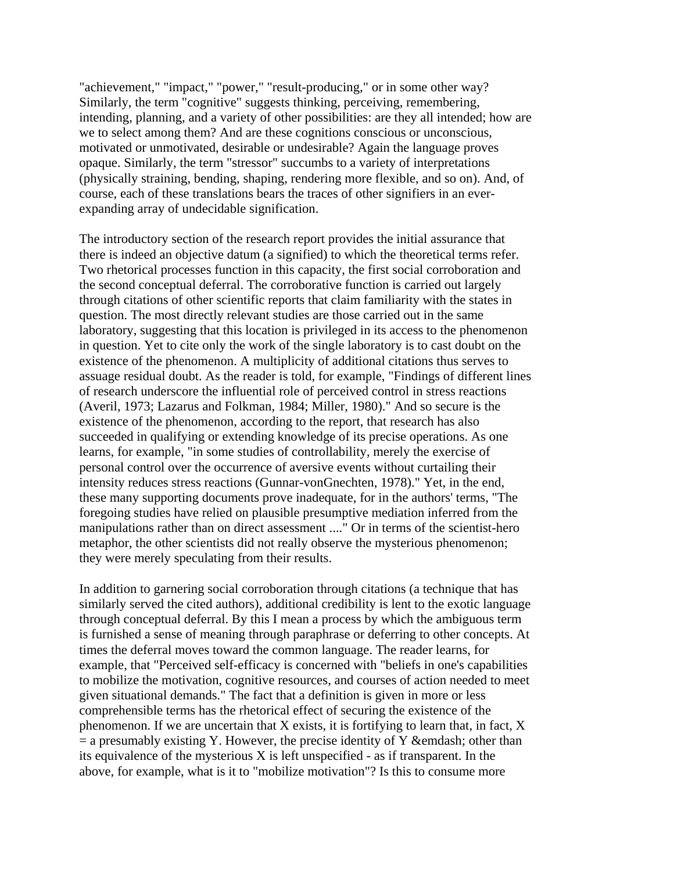"achievement," "impact," "power," "result-producing," or in some other way? Similarly, the term "cognitive" suggests thinking, perceiving, remembering, intending, planning, and a variety of other possibilities: are they all intended; how are we to select among them? And are these cognitions conscious or unconscious, motivated or unmotivated, desirable or undesirable? Again the language proves opaque. Similarly, the term "stressor" succumbs to a variety of interpretations (physically straining, bending, shaping, rendering more flexible, and so on). And, of course, each of these translations bears the traces of other signifiers in an everexpanding array of undecidable signification.

The introductory section of the research report provides the initial assurance that there is indeed an objective datum (a signified) to which the theoretical terms refer. Two rhetorical processes function in this capacity, the first social corroboration and the second conceptual deferral. The corroborative function is carried out largely through citations of other scientific reports that claim familiarity with the states in question. The most directly relevant studies are those carried out in the same laboratory, suggesting that this location is privileged in its access to the phenomenon in question. Yet to cite only the work of the single laboratory is to cast doubt on the existence of the phenomenon. A multiplicity of additional citations thus serves to assuage residual doubt. As the reader is told, for example, "Findings of different lines of research underscore the influential role of perceived control in stress reactions (Averil, 1973; Lazarus and Folkman, 1984; Miller, 1980)." And so secure is the existence of the phenomenon, according to the report, that research has also succeeded in qualifying or extending knowledge of its precise operations. As one learns, for example, "in some studies of controllability, merely the exercise of personal control over the occurrence of aversive events without curtailing their intensity reduces stress reactions (Gunnar-vonGnechten, 1978)." Yet, in the end, these many supporting documents prove inadequate, for in the authors' terms, "The foregoing studies have relied on plausible presumptive mediation inferred from the manipulations rather than on direct assessment ...." Or in terms of the scientist-hero metaphor, the other scientists did not really observe the mysterious phenomenon; they were merely speculating from their results.

In addition to garnering social corroboration through citations (a technique that has similarly served the cited authors), additional credibility is lent to the exotic language through conceptual deferral. By this I mean a process by which the ambiguous term is furnished a sense of meaning through paraphrase or deferring to other concepts. At times the deferral moves toward the common language. The reader learns, for example, that "Perceived self-efficacy is concerned with "beliefs in one's capabilities to mobilize the motivation, cognitive resources, and courses of action needed to meet given situational demands." The fact that a definition is given in more or less comprehensible terms has the rhetorical effect of securing the existence of the phenomenon. If we are uncertain that X exists, it is fortifying to learn that, in fact, X  $=$  a presumably existing Y. However, the precise identity of Y & emdash; other than its equivalence of the mysterious X is left unspecified - as if transparent. In the above, for example, what is it to "mobilize motivation"? Is this to consume more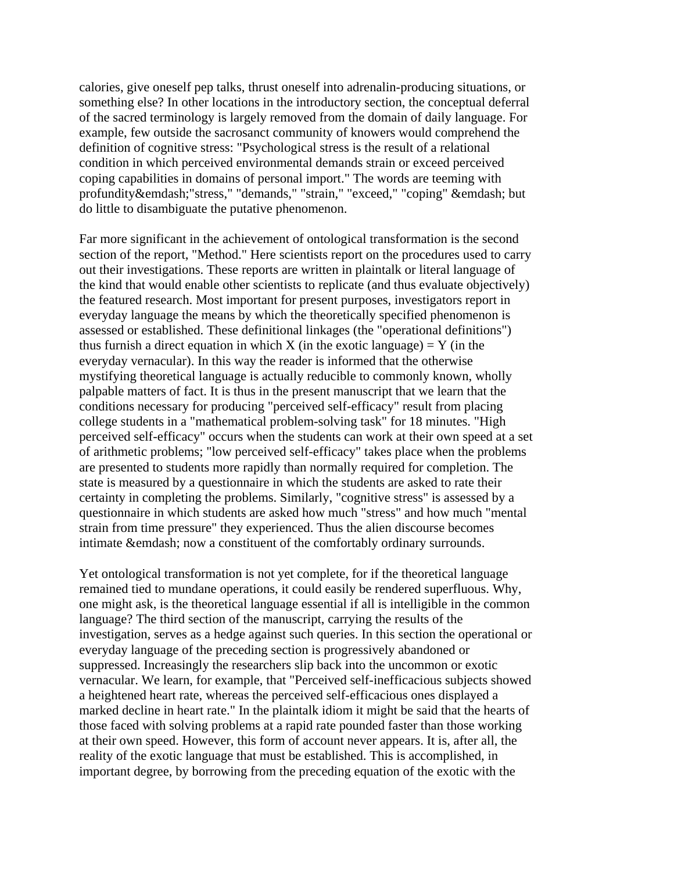calories, give oneself pep talks, thrust oneself into adrenalin-producing situations, or something else? In other locations in the introductory section, the conceptual deferral of the sacred terminology is largely removed from the domain of daily language. For example, few outside the sacrosanct community of knowers would comprehend the definition of cognitive stress: "Psychological stress is the result of a relational condition in which perceived environmental demands strain or exceed perceived coping capabilities in domains of personal import." The words are teeming with profundity&emdash;"stress," "demands," "strain," "exceed," "coping" &emdash; but do little to disambiguate the putative phenomenon.

Far more significant in the achievement of ontological transformation is the second section of the report, "Method." Here scientists report on the procedures used to carry out their investigations. These reports are written in plaintalk or literal language of the kind that would enable other scientists to replicate (and thus evaluate objectively) the featured research. Most important for present purposes, investigators report in everyday language the means by which the theoretically specified phenomenon is assessed or established. These definitional linkages (the "operational definitions") thus furnish a direct equation in which X (in the exotic language) = Y (in the everyday vernacular). In this way the reader is informed that the otherwise mystifying theoretical language is actually reducible to commonly known, wholly palpable matters of fact. It is thus in the present manuscript that we learn that the conditions necessary for producing "perceived self-efficacy" result from placing college students in a "mathematical problem-solving task" for 18 minutes. "High perceived self-efficacy" occurs when the students can work at their own speed at a set of arithmetic problems; "low perceived self-efficacy" takes place when the problems are presented to students more rapidly than normally required for completion. The state is measured by a questionnaire in which the students are asked to rate their certainty in completing the problems. Similarly, "cognitive stress" is assessed by a questionnaire in which students are asked how much "stress" and how much "mental strain from time pressure" they experienced. Thus the alien discourse becomes intimate &emdash; now a constituent of the comfortably ordinary surrounds.

Yet ontological transformation is not yet complete, for if the theoretical language remained tied to mundane operations, it could easily be rendered superfluous. Why, one might ask, is the theoretical language essential if all is intelligible in the common language? The third section of the manuscript, carrying the results of the investigation, serves as a hedge against such queries. In this section the operational or everyday language of the preceding section is progressively abandoned or suppressed. Increasingly the researchers slip back into the uncommon or exotic vernacular. We learn, for example, that "Perceived self-inefficacious subjects showed a heightened heart rate, whereas the perceived self-efficacious ones displayed a marked decline in heart rate." In the plaintalk idiom it might be said that the hearts of those faced with solving problems at a rapid rate pounded faster than those working at their own speed. However, this form of account never appears. It is, after all, the reality of the exotic language that must be established. This is accomplished, in important degree, by borrowing from the preceding equation of the exotic with the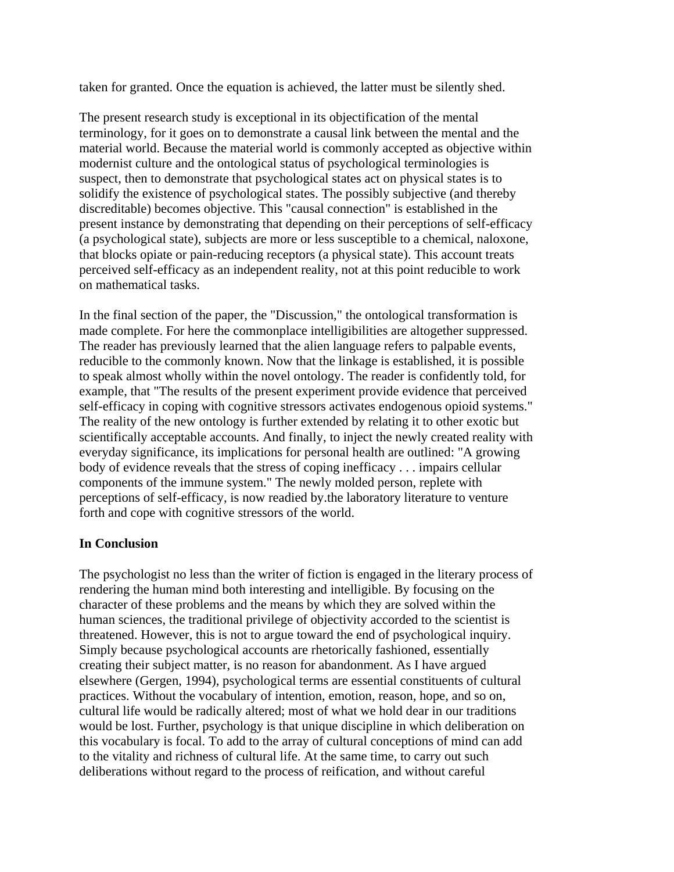taken for granted. Once the equation is achieved, the latter must be silently shed.

The present research study is exceptional in its objectification of the mental terminology, for it goes on to demonstrate a causal link between the mental and the material world. Because the material world is commonly accepted as objective within modernist culture and the ontological status of psychological terminologies is suspect, then to demonstrate that psychological states act on physical states is to solidify the existence of psychological states. The possibly subjective (and thereby discreditable) becomes objective. This "causal connection" is established in the present instance by demonstrating that depending on their perceptions of self-efficacy (a psychological state), subjects are more or less susceptible to a chemical, naloxone, that blocks opiate or pain-reducing receptors (a physical state). This account treats perceived self-efficacy as an independent reality, not at this point reducible to work on mathematical tasks.

In the final section of the paper, the "Discussion," the ontological transformation is made complete. For here the commonplace intelligibilities are altogether suppressed. The reader has previously learned that the alien language refers to palpable events, reducible to the commonly known. Now that the linkage is established, it is possible to speak almost wholly within the novel ontology. The reader is confidently told, for example, that "The results of the present experiment provide evidence that perceived self-efficacy in coping with cognitive stressors activates endogenous opioid systems." The reality of the new ontology is further extended by relating it to other exotic but scientifically acceptable accounts. And finally, to inject the newly created reality with everyday significance, its implications for personal health are outlined: "A growing body of evidence reveals that the stress of coping inefficacy . . . impairs cellular components of the immune system." The newly molded person, replete with perceptions of self-efficacy, is now readied by.the laboratory literature to venture forth and cope with cognitive stressors of the world.

#### **In Conclusion**

The psychologist no less than the writer of fiction is engaged in the literary process of rendering the human mind both interesting and intelligible. By focusing on the character of these problems and the means by which they are solved within the human sciences, the traditional privilege of objectivity accorded to the scientist is threatened. However, this is not to argue toward the end of psychological inquiry. Simply because psychological accounts are rhetorically fashioned, essentially creating their subject matter, is no reason for abandonment. As I have argued elsewhere (Gergen, 1994), psychological terms are essential constituents of cultural practices. Without the vocabulary of intention, emotion, reason, hope, and so on, cultural life would be radically altered; most of what we hold dear in our traditions would be lost. Further, psychology is that unique discipline in which deliberation on this vocabulary is focal. To add to the array of cultural conceptions of mind can add to the vitality and richness of cultural life. At the same time, to carry out such deliberations without regard to the process of reification, and without careful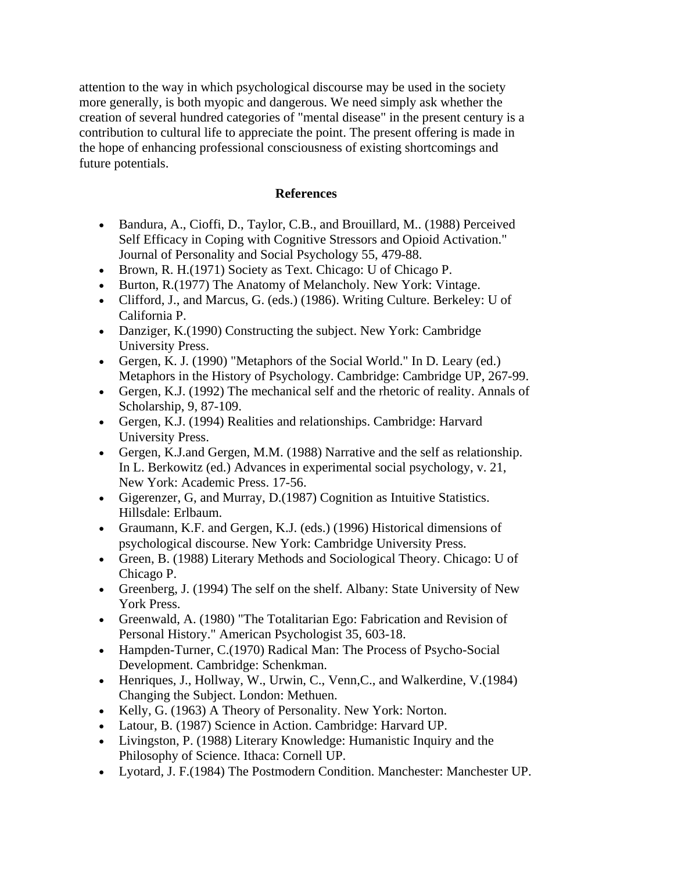attention to the way in which psychological discourse may be used in the society more generally, is both myopic and dangerous. We need simply ask whether the creation of several hundred categories of "mental disease" in the present century is a contribution to cultural life to appreciate the point. The present offering is made in the hope of enhancing professional consciousness of existing shortcomings and future potentials.

#### **References**

- Bandura, A., Cioffi, D., Taylor, C.B., and Brouillard, M.. (1988) Perceived Self Efficacy in Coping with Cognitive Stressors and Opioid Activation." Journal of Personality and Social Psychology 55, 479-88.
- Brown, R. H.(1971) Society as Text. Chicago: U of Chicago P.
- Burton, R.(1977) The Anatomy of Melancholy. New York: Vintage.
- Clifford, J., and Marcus, G. (eds.) (1986). Writing Culture. Berkeley: U of California P.
- Danziger, K. (1990) Constructing the subject. New York: Cambridge University Press.
- Gergen, K. J. (1990) "Metaphors of the Social World." In D. Leary (ed.) Metaphors in the History of Psychology. Cambridge: Cambridge UP, 267-99.
- Gergen, K.J. (1992) The mechanical self and the rhetoric of reality. Annals of Scholarship, 9, 87-109.
- Gergen, K.J. (1994) Realities and relationships. Cambridge: Harvard University Press.
- Gergen, K.J.and Gergen, M.M. (1988) Narrative and the self as relationship. In L. Berkowitz (ed.) Advances in experimental social psychology, v. 21, New York: Academic Press. 17-56.
- Gigerenzer, G, and Murray, D.(1987) Cognition as Intuitive Statistics. Hillsdale: Erlbaum.
- Graumann, K.F. and Gergen, K.J. (eds.) (1996) Historical dimensions of psychological discourse. New York: Cambridge University Press.
- Green, B. (1988) Literary Methods and Sociological Theory. Chicago: U of Chicago P.
- Greenberg, J. (1994) The self on the shelf. Albany: State University of New York Press.
- Greenwald, A. (1980) "The Totalitarian Ego: Fabrication and Revision of Personal History." American Psychologist 35, 603-18.
- Hampden-Turner, C.(1970) Radical Man: The Process of Psycho-Social Development. Cambridge: Schenkman.
- Henriques, J., Hollway, W., Urwin, C., Venn,C., and Walkerdine, V.(1984) Changing the Subject. London: Methuen.
- Kelly, G. (1963) A Theory of Personality. New York: Norton.
- Latour, B. (1987) Science in Action. Cambridge: Harvard UP.
- Livingston, P. (1988) Literary Knowledge: Humanistic Inquiry and the Philosophy of Science. Ithaca: Cornell UP.
- Lyotard, J. F.(1984) The Postmodern Condition. Manchester: Manchester UP.